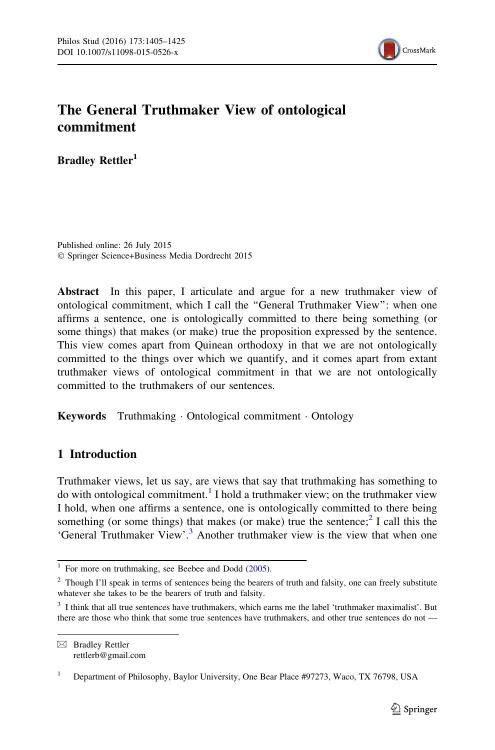

# The General Truthmaker View of ontological commitment

Bradlev Rettler<sup>1</sup>

Published online: 26 July 2015 - Springer Science+Business Media Dordrecht 2015

Abstract In this paper, I articulate and argue for a new truthmaker view of ontological commitment, which I call the ''General Truthmaker View'': when one affirms a sentence, one is ontologically committed to there being something (or some things) that makes (or make) true the proposition expressed by the sentence. This view comes apart from Quinean orthodoxy in that we are not ontologically committed to the things over which we quantify, and it comes apart from extant truthmaker views of ontological commitment in that we are not ontologically committed to the truthmakers of our sentences.

Keywords Truthmaking · Ontological commitment · Ontology

# 1 Introduction

Truthmaker views, let us say, are views that say that truthmaking has something to do with ontological commitment.<sup>1</sup> I hold a truthmaker view; on the truthmaker view I hold, when one affirms a sentence, one is ontologically committed to there being something (or some things) that makes (or make) true the sentence;<sup>2</sup> I call this the 'General Truthmaker View'.<sup>3</sup> Another truthmaker view is the view that when one

 $\boxtimes$  Bradley Rettler rettlerb@gmail.com

<sup>&</sup>lt;sup>1</sup> For more on truthmaking, see Beebee and Dodd  $(2005)$ .

 $2$  Though I'll speak in terms of sentences being the bearers of truth and falsity, one can freely substitute whatever she takes to be the bearers of truth and falsity.

<sup>&</sup>lt;sup>3</sup> I think that all true sentences have truthmakers, which earns me the label 'truthmaker maximalist'. But there are those who think that some true sentences have truthmakers, and other true sentences do not -

<sup>&</sup>lt;sup>1</sup> Department of Philosophy, Baylor University, One Bear Place #97273, Waco, TX 76798, USA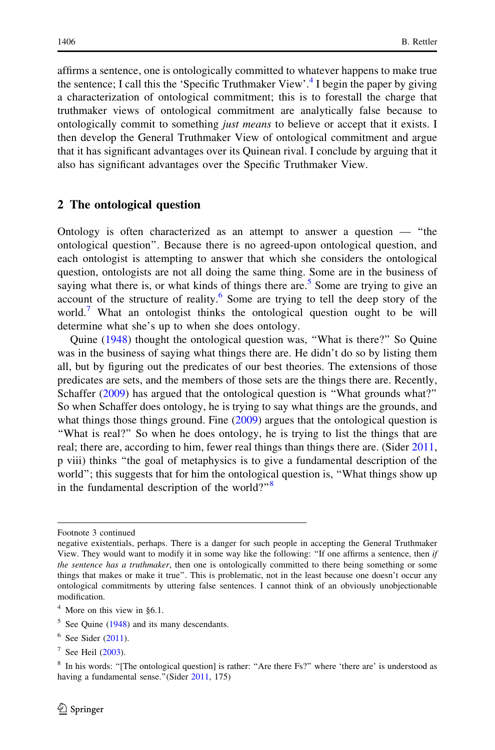affirms a sentence, one is ontologically committed to whatever happens to make true the sentence; I call this the 'Specific Truthmaker View'.<sup>4</sup> I begin the paper by giving a characterization of ontological commitment; this is to forestall the charge that truthmaker views of ontological commitment are analytically false because to ontologically commit to something just means to believe or accept that it exists. I then develop the General Truthmaker View of ontological commitment and argue that it has significant advantages over its Quinean rival. I conclude by arguing that it also has significant advantages over the Specific Truthmaker View.

#### 2 The ontological question

Ontology is often characterized as an attempt to answer a question — ''the ontological question''. Because there is no agreed-upon ontological question, and each ontologist is attempting to answer that which she considers the ontological question, ontologists are not all doing the same thing. Some are in the business of saying what there is, or what kinds of things there are.<sup>5</sup> Some are trying to give an account of the structure of reality. $6$  Some are trying to tell the deep story of the world.<sup>7</sup> What an ontologist thinks the ontological question ought to be will determine what she's up to when she does ontology.

Quine [\(1948](#page-20-0)) thought the ontological question was, ''What is there?'' So Quine was in the business of saying what things there are. He didn't do so by listing them all, but by figuring out the predicates of our best theories. The extensions of those predicates are sets, and the members of those sets are the things there are. Recently, Schaffer [\(2009](#page-20-0)) has argued that the ontological question is ''What grounds what?'' So when Schaffer does ontology, he is trying to say what things are the grounds, and what things those things ground. Fine [\(2009](#page-19-0)) argues that the ontological question is ''What is real?'' So when he does ontology, he is trying to list the things that are real; there are, according to him, fewer real things than things there are. (Sider [2011,](#page-20-0) p viii) thinks ''the goal of metaphysics is to give a fundamental description of the world''; this suggests that for him the ontological question is, ''What things show up in the fundamental description of the world? $18$ 

Footnote 3 continued

negative existentials, perhaps. There is a danger for such people in accepting the General Truthmaker View. They would want to modify it in some way like the following: ''If one affirms a sentence, then if the sentence has a truthmaker, then one is ontologically committed to there being something or some things that makes or make it true''. This is problematic, not in the least because one doesn't occur any ontological commitments by uttering false sentences. I cannot think of an obviously unobjectionable modification.

<sup>4</sup> More on this view in §6.1.

 $5$  See Quine ([1948\)](#page-20-0) and its many descendants.

 $6$  See Sider [\(2011](#page-20-0)).

 $7$  See Heil [\(2003](#page-19-0)).

<sup>&</sup>lt;sup>8</sup> In his words: "[The ontological question] is rather: "Are there Fs?" where 'there are' is understood as having a fundamental sense." (Sider [2011,](#page-20-0) 175)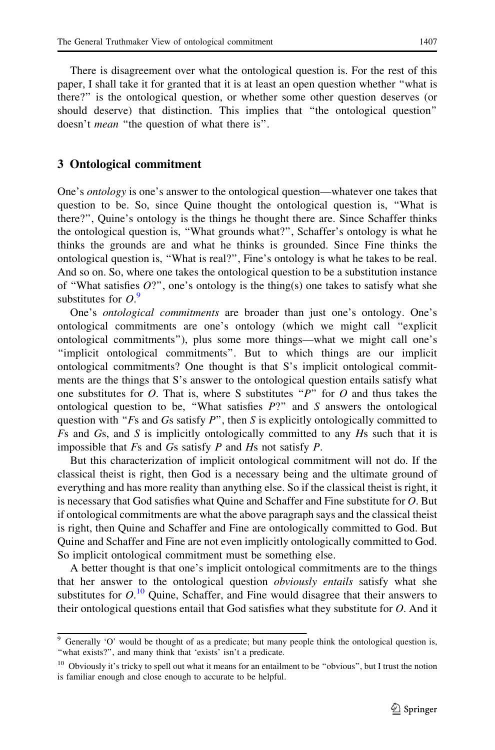There is disagreement over what the ontological question is. For the rest of this paper, I shall take it for granted that it is at least an open question whether ''what is there?'' is the ontological question, or whether some other question deserves (or should deserve) that distinction. This implies that ''the ontological question'' doesn't mean ''the question of what there is''.

#### 3 Ontological commitment

One's ontology is one's answer to the ontological question—whatever one takes that question to be. So, since Quine thought the ontological question is, ''What is there?'', Quine's ontology is the things he thought there are. Since Schaffer thinks the ontological question is, ''What grounds what?'', Schaffer's ontology is what he thinks the grounds are and what he thinks is grounded. Since Fine thinks the ontological question is, ''What is real?'', Fine's ontology is what he takes to be real. And so on. So, where one takes the ontological question to be a substitution instance of "What satisfies  $O$ ?", one's ontology is the thing(s) one takes to satisfy what she substitutes for  $O<sup>9</sup>$ .

One's ontological commitments are broader than just one's ontology. One's ontological commitments are one's ontology (which we might call ''explicit ontological commitments''), plus some more things—what we might call one's "implicit ontological commitments". But to which things are our implicit ontological commitments? One thought is that S's implicit ontological commitments are the things that S's answer to the ontological question entails satisfy what one substitutes for O. That is, where S substitutes " $P$ " for O and thus takes the ontological question to be, "What satisfies  $P$ ?" and S answers the ontological question with " $Fs$  and  $Gs$  satisfy  $P$ ", then  $S$  is explicitly ontologically committed to  $Fs$  and  $Gs$ , and  $S$  is implicitly ontologically committed to any  $Hs$  such that it is impossible that  $Fs$  and  $Gs$  satisfy  $P$  and  $Hs$  not satisfy  $P$ .

But this characterization of implicit ontological commitment will not do. If the classical theist is right, then God is a necessary being and the ultimate ground of everything and has more reality than anything else. So if the classical theist is right, it is necessary that God satisfies what Quine and Schaffer and Fine substitute for O. But if ontological commitments are what the above paragraph says and the classical theist is right, then Quine and Schaffer and Fine are ontologically committed to God. But Quine and Schaffer and Fine are not even implicitly ontologically committed to God. So implicit ontological commitment must be something else.

A better thought is that one's implicit ontological commitments are to the things that her answer to the ontological question *obviously entails* satisfy what she substitutes for  $O$ .<sup>10</sup> Quine, Schaffer, and Fine would disagree that their answers to their ontological questions entail that God satisfies what they substitute for  $O$ . And it

<sup>9</sup> Generally 'O' would be thought of as a predicate; but many people think the ontological question is, "what exists?", and many think that 'exists' isn't a predicate.

<sup>10</sup> Obviously it's tricky to spell out what it means for an entailment to be ''obvious'', but I trust the notion is familiar enough and close enough to accurate to be helpful.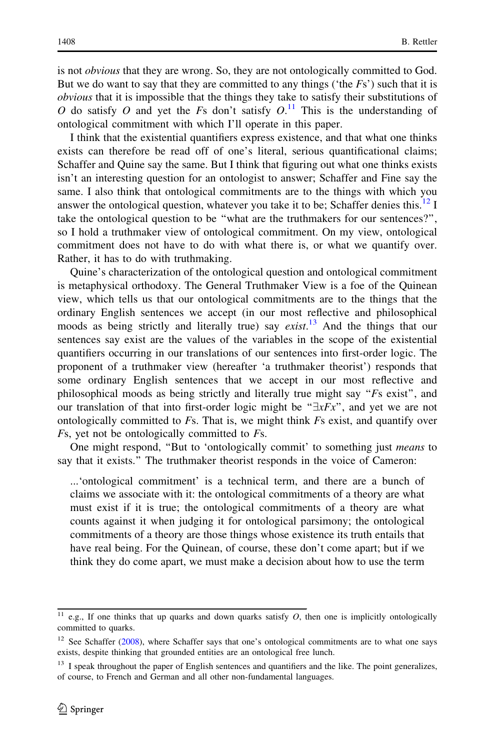is not *obvious* that they are wrong. So, they are not ontologically committed to God. But we do want to say that they are committed to any things ('the  $Fs$ ') such that it is obvious that it is impossible that the things they take to satisfy their substitutions of O do satisfy O and yet the Fs don't satisfy  $O<sup>11</sup>$ . This is the understanding of ontological commitment with which I'll operate in this paper.

I think that the existential quantifiers express existence, and that what one thinks exists can therefore be read off of one's literal, serious quantificational claims; Schaffer and Quine say the same. But I think that figuring out what one thinks exists isn't an interesting question for an ontologist to answer; Schaffer and Fine say the same. I also think that ontological commitments are to the things with which you answer the ontological question, whatever you take it to be; Schaffer denies this.<sup>12</sup> I take the ontological question to be ''what are the truthmakers for our sentences?'', so I hold a truthmaker view of ontological commitment. On my view, ontological commitment does not have to do with what there is, or what we quantify over. Rather, it has to do with truthmaking.

Quine's characterization of the ontological question and ontological commitment is metaphysical orthodoxy. The General Truthmaker View is a foe of the Quinean view, which tells us that our ontological commitments are to the things that the ordinary English sentences we accept (in our most reflective and philosophical moods as being strictly and literally true) say exist.<sup>13</sup> And the things that our sentences say exist are the values of the variables in the scope of the existential quantifiers occurring in our translations of our sentences into first-order logic. The proponent of a truthmaker view (hereafter 'a truthmaker theorist') responds that some ordinary English sentences that we accept in our most reflective and philosophical moods as being strictly and literally true might say ''Fs exist'', and our translation of that into first-order logic might be " $\exists xFx$ ", and yet we are not ontologically committed to Fs. That is, we might think Fs exist, and quantify over Fs, yet not be ontologically committed to Fs.

One might respond, "But to 'ontologically commit' to something just *means* to say that it exists.'' The truthmaker theorist responds in the voice of Cameron:

...'ontological commitment' is a technical term, and there are a bunch of claims we associate with it: the ontological commitments of a theory are what must exist if it is true; the ontological commitments of a theory are what counts against it when judging it for ontological parsimony; the ontological commitments of a theory are those things whose existence its truth entails that have real being. For the Quinean, of course, these don't come apart; but if we think they do come apart, we must make a decision about how to use the term

e.g., If one thinks that up quarks and down quarks satisfy  $O$ , then one is implicitly ontologically committed to quarks.

<sup>&</sup>lt;sup>12</sup> See Schaffer ([2008\)](#page-20-0), where Schaffer says that one's ontological commitments are to what one says exists, despite thinking that grounded entities are an ontological free lunch.

<sup>&</sup>lt;sup>13</sup> I speak throughout the paper of English sentences and quantifiers and the like. The point generalizes, of course, to French and German and all other non-fundamental languages.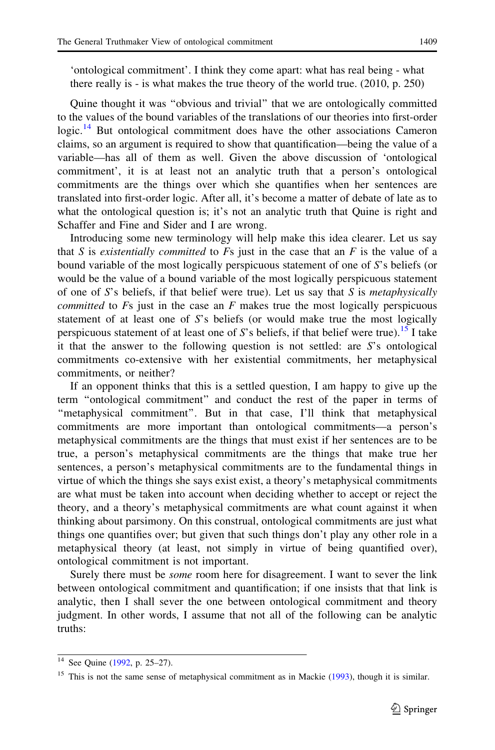'ontological commitment'. I think they come apart: what has real being - what there really is - is what makes the true theory of the world true. (2010, p. 250)

Quine thought it was ''obvious and trivial'' that we are ontologically committed to the values of the bound variables of the translations of our theories into first-order  $logic.<sup>14</sup>$  But ontological commitment does have the other associations Cameron claims, so an argument is required to show that quantification—being the value of a variable—has all of them as well. Given the above discussion of 'ontological commitment', it is at least not an analytic truth that a person's ontological commitments are the things over which she quantifies when her sentences are translated into first-order logic. After all, it's become a matter of debate of late as to what the ontological question is; it's not an analytic truth that Quine is right and Schaffer and Fine and Sider and I are wrong.

Introducing some new terminology will help make this idea clearer. Let us say that S is *existentially committed* to Fs just in the case that an F is the value of a bound variable of the most logically perspicuous statement of one of S's beliefs (or would be the value of a bound variable of the most logically perspicuous statement of one of  $S$ 's beliefs, if that belief were true). Let us say that  $S$  is *metaphysically committed* to  $\overline{F}$  just in the case an  $\overline{F}$  makes true the most logically perspicuous statement of at least one of S's beliefs (or would make true the most logically perspicuous statement of at least one of S's beliefs, if that belief were true).<sup>15</sup> I take it that the answer to the following question is not settled: are  $S$ 's ontological commitments co-extensive with her existential commitments, her metaphysical commitments, or neither?

If an opponent thinks that this is a settled question, I am happy to give up the term ''ontological commitment'' and conduct the rest of the paper in terms of "metaphysical commitment". But in that case, I'll think that metaphysical commitments are more important than ontological commitments—a person's metaphysical commitments are the things that must exist if her sentences are to be true, a person's metaphysical commitments are the things that make true her sentences, a person's metaphysical commitments are to the fundamental things in virtue of which the things she says exist exist, a theory's metaphysical commitments are what must be taken into account when deciding whether to accept or reject the theory, and a theory's metaphysical commitments are what count against it when thinking about parsimony. On this construal, ontological commitments are just what things one quantifies over; but given that such things don't play any other role in a metaphysical theory (at least, not simply in virtue of being quantified over), ontological commitment is not important.

Surely there must be *some* room here for disagreement. I want to sever the link between ontological commitment and quantification; if one insists that that link is analytic, then I shall sever the one between ontological commitment and theory judgment. In other words, I assume that not all of the following can be analytic truths:

<sup>&</sup>lt;sup>14</sup> See Quine ([1992,](#page-20-0) p. 25–27).

<sup>&</sup>lt;sup>15</sup> This is not the same sense of metaphysical commitment as in Mackie [\(1993](#page-19-0)), though it is similar.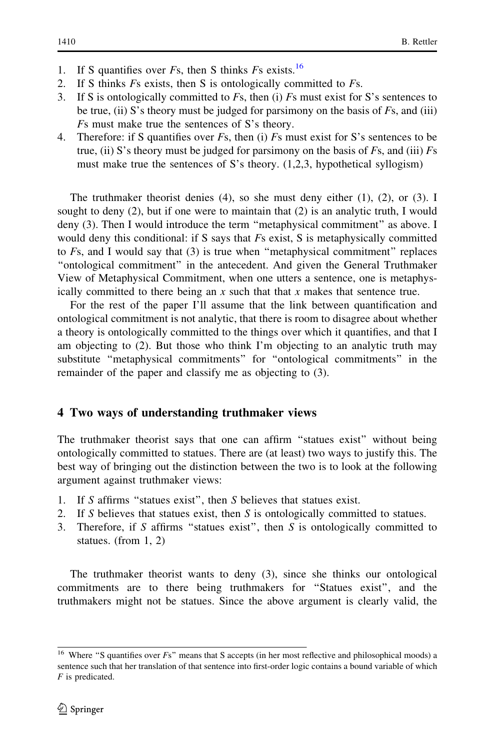- 1. If S quantifies over  $Fs$ , then S thinks  $Fs$  exists.<sup>16</sup>
- 2. If S thinks Fs exists, then S is ontologically committed to Fs.
- 3. If S is ontologically committed to  $Fs$ , then (i)  $Fs$  must exist for S's sentences to be true, (ii) S's theory must be judged for parsimony on the basis of  $Fs$ , and (iii) Fs must make true the sentences of S's theory.
- 4. Therefore: if S quantifies over Fs, then (i) Fs must exist for S's sentences to be true, (ii) S's theory must be judged for parsimony on the basis of  $Fs$ , and (iii)  $Fs$ must make true the sentences of S's theory. (1,2,3, hypothetical syllogism)

The truthmaker theorist denies (4), so she must deny either (1), (2), or (3). I sought to deny (2), but if one were to maintain that (2) is an analytic truth, I would deny (3). Then I would introduce the term "metaphysical commitment" as above. I would deny this conditional: if S says that  $Fs$  exist, S is metaphysically committed to  $Fs$ , and I would say that  $(3)$  is true when "metaphysical commitment" replaces "ontological commitment" in the antecedent. And given the General Truthmaker View of Metaphysical Commitment, when one utters a sentence, one is metaphysically committed to there being an x such that that x makes that sentence true.

For the rest of the paper I'll assume that the link between quantification and ontological commitment is not analytic, that there is room to disagree about whether a theory is ontologically committed to the things over which it quantifies, and that I am objecting to (2). But those who think I'm objecting to an analytic truth may substitute ''metaphysical commitments'' for ''ontological commitments'' in the remainder of the paper and classify me as objecting to (3).

#### 4 Two ways of understanding truthmaker views

The truthmaker theorist says that one can affirm ''statues exist'' without being ontologically committed to statues. There are (at least) two ways to justify this. The best way of bringing out the distinction between the two is to look at the following argument against truthmaker views:

- 1. If S affirms ''statues exist'', then S believes that statues exist.
- 2. If S believes that statues exist, then S is ontologically committed to statues.
- 3. Therefore, if S affirms ''statues exist'', then S is ontologically committed to statues. (from 1, 2)

The truthmaker theorist wants to deny (3), since she thinks our ontological commitments are to there being truthmakers for ''Statues exist'', and the truthmakers might not be statues. Since the above argument is clearly valid, the

 $\frac{16}{16}$  Where "S quantifies over Fs" means that S accepts (in her most reflective and philosophical moods) a sentence such that her translation of that sentence into first-order logic contains a bound variable of which  $F$  is predicated.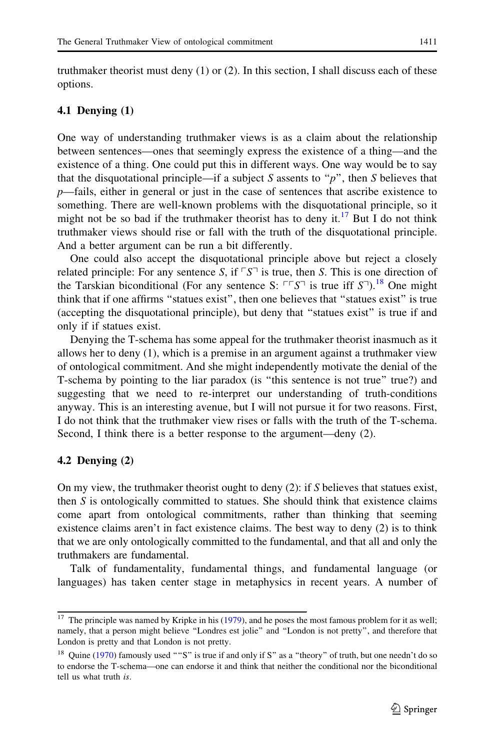truthmaker theorist must deny  $(1)$  or  $(2)$ . In this section, I shall discuss each of these options.

#### 4.1 Denying (1)

One way of understanding truthmaker views is as a claim about the relationship between sentences—ones that seemingly express the existence of a thing—and the existence of a thing. One could put this in different ways. One way would be to say that the disquotational principle—if a subject S assents to " $p$ ", then S believes that  $p$ —fails, either in general or just in the case of sentences that ascribe existence to something. There are well-known problems with the disquotational principle, so it might not be so bad if the truthmaker theorist has to deny it.<sup>17</sup> But I do not think truthmaker views should rise or fall with the truth of the disquotational principle. And a better argument can be run a bit differently.

One could also accept the disquotational principle above but reject a closely related principle: For any sentence S, if  $\sqrt{S}$  is true, then S. This is one direction of the Tarskian biconditional (For any sentence S:  $\sqrt{S}$  is true iff S<sup> $\sqrt{3}$ </sup>.<sup>18</sup> One might think that if one affirms ''statues exist'', then one believes that ''statues exist'' is true (accepting the disquotational principle), but deny that ''statues exist'' is true if and only if if statues exist.

Denying the T-schema has some appeal for the truthmaker theorist inasmuch as it allows her to deny (1), which is a premise in an argument against a truthmaker view of ontological commitment. And she might independently motivate the denial of the T-schema by pointing to the liar paradox (is ''this sentence is not true'' true?) and suggesting that we need to re-interpret our understanding of truth-conditions anyway. This is an interesting avenue, but I will not pursue it for two reasons. First, I do not think that the truthmaker view rises or falls with the truth of the T-schema. Second, I think there is a better response to the argument—deny (2).

#### 4.2 Denying (2)

On my view, the truthmaker theorist ought to deny (2): if S believes that statues exist, then  $S$  is ontologically committed to statues. She should think that existence claims come apart from ontological commitments, rather than thinking that seeming existence claims aren't in fact existence claims. The best way to deny (2) is to think that we are only ontologically committed to the fundamental, and that all and only the truthmakers are fundamental.

Talk of fundamentality, fundamental things, and fundamental language (or languages) has taken center stage in metaphysics in recent years. A number of

 $17$  The principle was named by Kripke in his ([1979\)](#page-19-0), and he poses the most famous problem for it as well; namely, that a person might believe ''Londres est jolie'' and ''London is not pretty'', and therefore that London is pretty and that London is not pretty.

<sup>&</sup>lt;sup>18</sup> Quine ([1970\)](#page-20-0) famously used ""S" is true if and only if S" as a "theory" of truth, but one needn't do so to endorse the T-schema—one can endorse it and think that neither the conditional nor the biconditional tell us what truth is.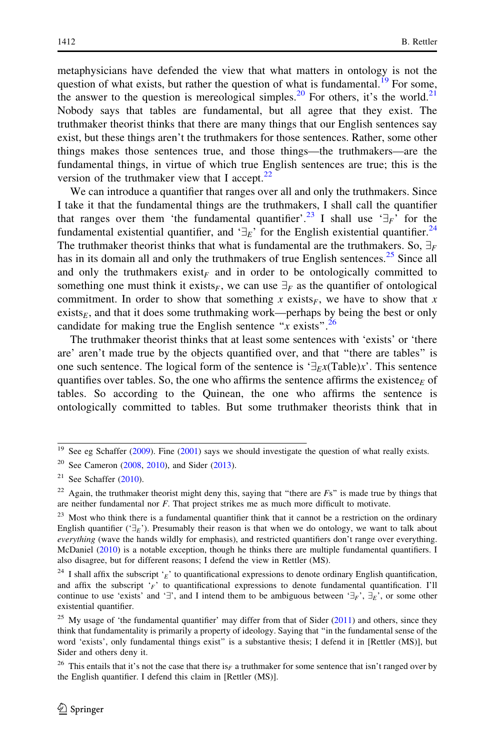metaphysicians have defended the view that what matters in ontology is not the question of what exists, but rather the question of what is fundamental.<sup>19</sup> For some, the answer to the question is mereological simples.<sup>20</sup> For others, it's the world.<sup>21</sup> Nobody says that tables are fundamental, but all agree that they exist. The truthmaker theorist thinks that there are many things that our English sentences say exist, but these things aren't the truthmakers for those sentences. Rather, some other things makes those sentences true, and those things—the truthmakers—are the fundamental things, in virtue of which true English sentences are true; this is the version of the truthmaker view that I accept. $^{22}$ 

We can introduce a quantifier that ranges over all and only the truthmakers. Since I take it that the fundamental things are the truthmakers, I shall call the quantifier that ranges over them 'the fundamental quantifier'.<sup>23</sup> I shall use  $\overrightarrow{F}$  for the fundamental existential quantifier, and  $\exists F$  for the English existential quantifier.<sup>24</sup> The truthmaker theorist thinks that what is fundamental are the truthmakers. So,  $\exists_F$ has in its domain all and only the truthmakers of true English sentences.<sup>25</sup> Since all and only the truthmakers exist<sub>F</sub> and in order to be ontologically committed to something one must think it exists<sub>F</sub>, we can use  $\exists_F$  as the quantifier of ontological commitment. In order to show that something x exists  $F$ , we have to show that x exists $_E$ , and that it does some truthmaking work—perhaps by being the best or only candidate for making true the English sentence " $x$  exists".<sup>26</sup>

The truthmaker theorist thinks that at least some sentences with 'exists' or 'there are' aren't made true by the objects quantified over, and that ''there are tables'' is one such sentence. The logical form of the sentence is  $\exists$ <sub>E</sub>x(Table)x'. This sentence quantifies over tables. So, the one who affirms the sentence affirms the existence $_E$  of tables. So according to the Quinean, the one who affirms the sentence is ontologically committed to tables. But some truthmaker theorists think that in

<sup>&</sup>lt;sup>19</sup> See eg Schaffer ([2009\)](#page-20-0). Fine [\(2001](#page-19-0)) says we should investigate the question of what really exists.

<sup>&</sup>lt;sup>20</sup> See Cameron ([2008,](#page-19-0) [2010](#page-19-0)), and Sider ([2013\)](#page-20-0).

 $21$  See Schaffer [\(2010](#page-20-0)).

<sup>&</sup>lt;sup>22</sup> Again, the truthmaker theorist might deny this, saying that "there are  $Fs$ " is made true by things that are neither fundamental nor F. That project strikes me as much more difficult to motivate.

 $23$  Most who think there is a fundamental quantifier think that it cannot be a restriction on the ordinary English quantifier ( $\exists$ <sub>E</sub>'). Presumably their reason is that when we do ontology, we want to talk about everything (wave the hands wildly for emphasis), and restricted quantifiers don't range over everything. McDaniel [\(2010](#page-19-0)) is a notable exception, though he thinks there are multiple fundamental quantifiers. I also disagree, but for different reasons; I defend the view in Rettler (MS).

<sup>&</sup>lt;sup>24</sup> I shall affix the subscript ' $_E$ ' to quantificational expressions to denote ordinary English quantification, and affix the subscript  $\kappa_F$ ' to quantificational expressions to denote fundamental quantification. I'll continue to use 'exists' and ' $\exists'$ ', and I intend them to be ambiguous between ' $\exists_F$ ',  $\exists_F$ ', or some other existential quantifier.

 $25$  My usage of 'the fundamental quantifier' may differ from that of Sider ( $2011$ ) and others, since they think that fundamentality is primarily a property of ideology. Saying that ''in the fundamental sense of the word 'exists', only fundamental things exist'' is a substantive thesis; I defend it in [Rettler (MS)], but Sider and others deny it.

<sup>&</sup>lt;sup>26</sup> This entails that it's not the case that there is<sub>F</sub> a truthmaker for some sentence that isn't ranged over by the English quantifier. I defend this claim in [Rettler (MS)].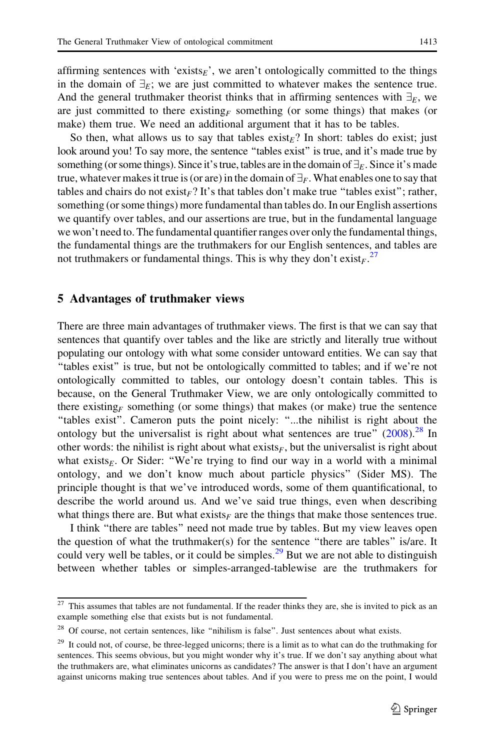affirming sentences with 'exists $_E$ ', we aren't ontologically committed to the things in the domain of  $\exists_F$ ; we are just committed to whatever makes the sentence true. And the general truthmaker theorist thinks that in affirming sentences with  $\exists_E$ , we are just committed to there existing<sub>F</sub> something (or some things) that makes (or make) them true. We need an additional argument that it has to be tables.

So then, what allows us to say that tables exist<sub> $E$ </sub>? In short: tables do exist; just look around you! To say more, the sentence "tables exist" is true, and it's made true by something (or some things). Since it's true, tables are in the domain of  $\exists_E$ . Since it's made true, whatever makes it true is (or are) in the domain of  $\exists_F$ . What enables one to say that tables and chairs do not exist<sub>F</sub>? It's that tables don't make true "tables exist"; rather, something (or some things) more fundamental than tables do. In our English assertions we quantify over tables, and our assertions are true, but in the fundamental language we won't need to. The fundamental quantifier ranges over only the fundamental things, the fundamental things are the truthmakers for our English sentences, and tables are not truthmakers or fundamental things. This is why they don't exist<sub>F</sub>.<sup>27</sup>

#### 5 Advantages of truthmaker views

There are three main advantages of truthmaker views. The first is that we can say that sentences that quantify over tables and the like are strictly and literally true without populating our ontology with what some consider untoward entities. We can say that ''tables exist'' is true, but not be ontologically committed to tables; and if we're not ontologically committed to tables, our ontology doesn't contain tables. This is because, on the General Truthmaker View, we are only ontologically committed to there existing<sub>F</sub> something (or some things) that makes (or make) true the sentence ''tables exist''. Cameron puts the point nicely: ''...the nihilist is right about the ontology but the universalist is right about what sentences are true"  $(2008)^{28}$  $(2008)^{28}$  $(2008)^{28}$  In other words: the nihilist is right about what  $exists F$ , but the universalist is right about what exists<sub>E</sub>. Or Sider: "We're trying to find our way in a world with a minimal ontology, and we don't know much about particle physics'' (Sider MS). The principle thought is that we've introduced words, some of them quantificational, to describe the world around us. And we've said true things, even when describing what things there are. But what exists  $F$  are the things that make those sentences true.

I think ''there are tables'' need not made true by tables. But my view leaves open the question of what the truthmaker(s) for the sentence ''there are tables'' is/are. It could very well be tables, or it could be simples.<sup>29</sup> But we are not able to distinguish between whether tables or simples-arranged-tablewise are the truthmakers for

 $27$  This assumes that tables are not fundamental. If the reader thinks they are, she is invited to pick as an example something else that exists but is not fundamental.

<sup>&</sup>lt;sup>28</sup> Of course, not certain sentences, like "nihilism is false". Just sentences about what exists.

<sup>&</sup>lt;sup>29</sup> It could not, of course, be three-legged unicorns; there is a limit as to what can do the truthmaking for sentences. This seems obvious, but you might wonder why it's true. If we don't say anything about what the truthmakers are, what eliminates unicorns as candidates? The answer is that I don't have an argument against unicorns making true sentences about tables. And if you were to press me on the point, I would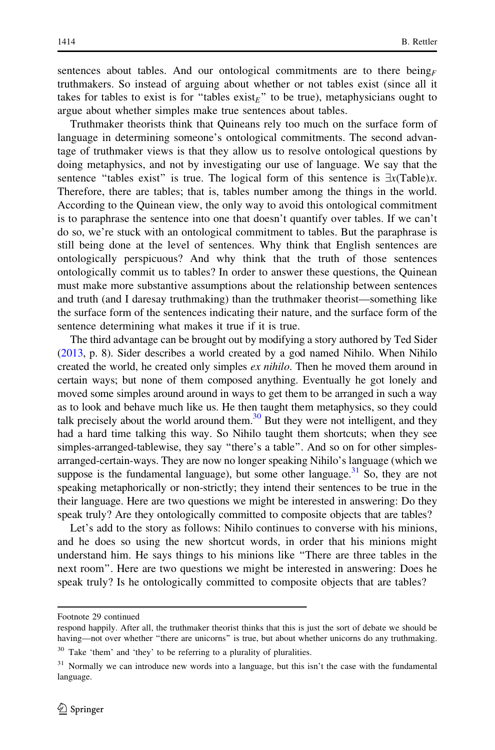sentences about tables. And our ontological commitments are to there being truthmakers. So instead of arguing about whether or not tables exist (since all it takes for tables to exist is for "tables exist<sub>E</sub>" to be true), metaphysicians ought to argue about whether simples make true sentences about tables.

Truthmaker theorists think that Quineans rely too much on the surface form of language in determining someone's ontological commitments. The second advantage of truthmaker views is that they allow us to resolve ontological questions by doing metaphysics, and not by investigating our use of language. We say that the sentence "tables exist" is true. The logical form of this sentence is  $\exists x$ (Table)x. Therefore, there are tables; that is, tables number among the things in the world. According to the Quinean view, the only way to avoid this ontological commitment is to paraphrase the sentence into one that doesn't quantify over tables. If we can't do so, we're stuck with an ontological commitment to tables. But the paraphrase is still being done at the level of sentences. Why think that English sentences are ontologically perspicuous? And why think that the truth of those sentences ontologically commit us to tables? In order to answer these questions, the Quinean must make more substantive assumptions about the relationship between sentences and truth (and I daresay truthmaking) than the truthmaker theorist—something like the surface form of the sentences indicating their nature, and the surface form of the sentence determining what makes it true if it is true.

The third advantage can be brought out by modifying a story authored by Ted Sider [\(2013,](#page-20-0) p. 8). Sider describes a world created by a god named Nihilo. When Nihilo created the world, he created only simples ex nihilo. Then he moved them around in certain ways; but none of them composed anything. Eventually he got lonely and moved some simples around around in ways to get them to be arranged in such a way as to look and behave much like us. He then taught them metaphysics, so they could talk precisely about the world around them.<sup>30</sup> But they were not intelligent, and they had a hard time talking this way. So Nihilo taught them shortcuts; when they see simples-arranged-tablewise, they say ''there's a table''. And so on for other simplesarranged-certain-ways. They are now no longer speaking Nihilo's language (which we suppose is the fundamental language), but some other language. $31$  So, they are not speaking metaphorically or non-strictly; they intend their sentences to be true in the their language. Here are two questions we might be interested in answering: Do they speak truly? Are they ontologically committed to composite objects that are tables?

Let's add to the story as follows: Nihilo continues to converse with his minions, and he does so using the new shortcut words, in order that his minions might understand him. He says things to his minions like ''There are three tables in the next room''. Here are two questions we might be interested in answering: Does he speak truly? Is he ontologically committed to composite objects that are tables?

Footnote 29 continued

respond happily. After all, the truthmaker theorist thinks that this is just the sort of debate we should be having—not over whether "there are unicorns" is true, but about whether unicorns do any truthmaking.

<sup>&</sup>lt;sup>30</sup> Take 'them' and 'they' to be referring to a plurality of pluralities.

<sup>&</sup>lt;sup>31</sup> Normally we can introduce new words into a language, but this isn't the case with the fundamental language.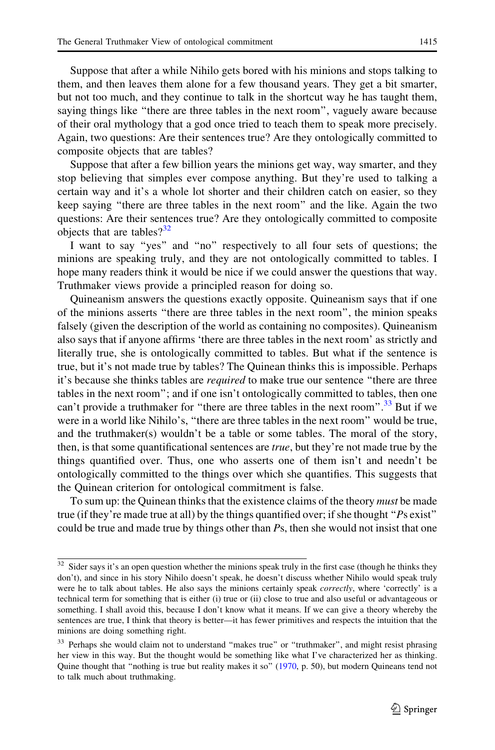Suppose that after a while Nihilo gets bored with his minions and stops talking to them, and then leaves them alone for a few thousand years. They get a bit smarter, but not too much, and they continue to talk in the shortcut way he has taught them, saying things like ''there are three tables in the next room'', vaguely aware because of their oral mythology that a god once tried to teach them to speak more precisely. Again, two questions: Are their sentences true? Are they ontologically committed to composite objects that are tables?

Suppose that after a few billion years the minions get way, way smarter, and they stop believing that simples ever compose anything. But they're used to talking a certain way and it's a whole lot shorter and their children catch on easier, so they keep saying ''there are three tables in the next room'' and the like. Again the two questions: Are their sentences true? Are they ontologically committed to composite objects that are tables? $3^{32}$ 

I want to say ''yes'' and ''no'' respectively to all four sets of questions; the minions are speaking truly, and they are not ontologically committed to tables. I hope many readers think it would be nice if we could answer the questions that way. Truthmaker views provide a principled reason for doing so.

Quineanism answers the questions exactly opposite. Quineanism says that if one of the minions asserts ''there are three tables in the next room'', the minion speaks falsely (given the description of the world as containing no composites). Quineanism also says that if anyone affirms 'there are three tables in the next room' as strictly and literally true, she is ontologically committed to tables. But what if the sentence is true, but it's not made true by tables? The Quinean thinks this is impossible. Perhaps it's because she thinks tables are *required* to make true our sentence "there are three tables in the next room''; and if one isn't ontologically committed to tables, then one can't provide a truthmaker for "there are three tables in the next room".<sup>33</sup> But if we were in a world like Nihilo's, ''there are three tables in the next room'' would be true, and the truthmaker(s) wouldn't be a table or some tables. The moral of the story, then, is that some quantificational sentences are *true*, but they're not made true by the things quantified over. Thus, one who asserts one of them isn't and needn't be ontologically committed to the things over which she quantifies. This suggests that the Quinean criterion for ontological commitment is false.

To sum up: the Quinean thinks that the existence claims of the theory *must* be made true (if they're made true at all) by the things quantified over; if she thought ''Ps exist'' could be true and made true by things other than  $Ps$ , then she would not insist that one

<sup>&</sup>lt;sup>32</sup> Sider says it's an open question whether the minions speak truly in the first case (though he thinks they don't), and since in his story Nihilo doesn't speak, he doesn't discuss whether Nihilo would speak truly were he to talk about tables. He also says the minions certainly speak *correctly*, where 'correctly' is a technical term for something that is either (i) true or (ii) close to true and also useful or advantageous or something. I shall avoid this, because I don't know what it means. If we can give a theory whereby the sentences are true, I think that theory is better—it has fewer primitives and respects the intuition that the minions are doing something right.

<sup>&</sup>lt;sup>33</sup> Perhaps she would claim not to understand "makes true" or "truthmaker", and might resist phrasing her view in this way. But the thought would be something like what I've characterized her as thinking. Quine thought that "nothing is true but reality makes it so" [\(1970](#page-20-0), p. 50), but modern Quineans tend not to talk much about truthmaking.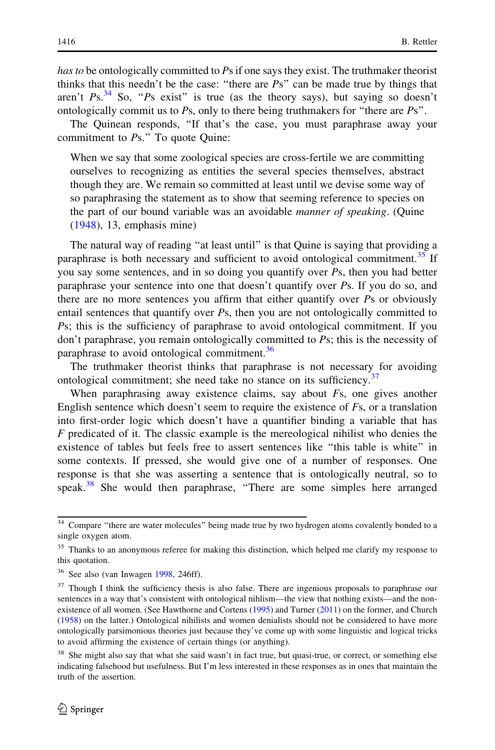has to be ontologically committed to Ps if one says they exist. The truthmaker theorist thinks that this needn't be the case: "there are  $Ps$ " can be made true by things that aren't Ps.<sup>34</sup> So, "Ps exist" is true (as the theory says), but saying so doesn't ontologically commit us to Ps, only to there being truthmakers for ''there are Ps''.

The Quinean responds, ''If that's the case, you must paraphrase away your commitment to Ps." To quote Quine:

When we say that some zoological species are cross-fertile we are committing ourselves to recognizing as entities the several species themselves, abstract though they are. We remain so committed at least until we devise some way of so paraphrasing the statement as to show that seeming reference to species on the part of our bound variable was an avoidable *manner of speaking*. (Quine ([1948\)](#page-20-0), 13, emphasis mine)

The natural way of reading "at least until" is that Quine is saying that providing a paraphrase is both necessary and sufficient to avoid ontological commitment.<sup>35</sup> If you say some sentences, and in so doing you quantify over  $Ps$ , then you had better paraphrase your sentence into one that doesn't quantify over Ps. If you do so, and there are no more sentences you affirm that either quantify over Ps or obviously entail sentences that quantify over Ps, then you are not ontologically committed to Ps; this is the sufficiency of paraphrase to avoid ontological commitment. If you don't paraphrase, you remain ontologically committed to Ps; this is the necessity of paraphrase to avoid ontological commitment.<sup>36</sup>

The truthmaker theorist thinks that paraphrase is not necessary for avoiding ontological commitment; she need take no stance on its sufficiency.<sup>37</sup>

When paraphrasing away existence claims, say about  $Fs$ , one gives another English sentence which doesn't seem to require the existence of Fs, or a translation into first-order logic which doesn't have a quantifier binding a variable that has  $F$  predicated of it. The classic example is the mereological nihilist who denies the existence of tables but feels free to assert sentences like ''this table is white'' in some contexts. If pressed, she would give one of a number of responses. One response is that she was asserting a sentence that is ontologically neutral, so to speak.<sup>38</sup> She would then paraphrase, "There are some simples here arranged

<sup>&</sup>lt;sup>34</sup> Compare "there are water molecules" being made true by two hydrogen atoms covalently bonded to a single oxygen atom.

<sup>&</sup>lt;sup>35</sup> Thanks to an anonymous referee for making this distinction, which helped me clarify my response to this quotation.

 $36$  See also (van Inwagen [1998](#page-20-0), 246ff).

<sup>&</sup>lt;sup>37</sup> Though I think the sufficiency thesis is also false. There are ingenious proposals to paraphrase our sentences in a way that's consistent with ontological nihlism—the view that nothing exists—and the nonexistence of all women. (See Hawthorne and Cortens [\(1995](#page-20-0)) and Turner [\(2011](#page-20-0)) on the former, and Church ([1958\)](#page-19-0) on the latter.) Ontological nihilists and women denialists should not be considered to have more ontologically parsimonious theories just because they've come up with some linguistic and logical tricks to avoid affirming the existence of certain things (or anything).

<sup>&</sup>lt;sup>38</sup> She might also say that what she said wasn't in fact true, but quasi-true, or correct, or something else indicating falsehood but usefulness. But I'm less interested in these responses as in ones that maintain the truth of the assertion.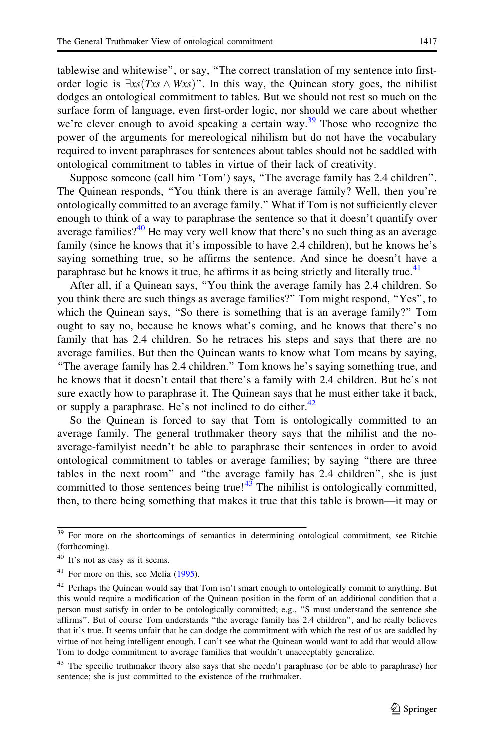tablewise and whitewise'', or say, ''The correct translation of my sentence into firstorder logic is  $\exists xs(Txs \land Wxs)$ ". In this way, the Quinean story goes, the nihilist dodges an ontological commitment to tables. But we should not rest so much on the surface form of language, even first-order logic, nor should we care about whether we're clever enough to avoid speaking a certain way.<sup>39</sup> Those who recognize the power of the arguments for mereological nihilism but do not have the vocabulary required to invent paraphrases for sentences about tables should not be saddled with ontological commitment to tables in virtue of their lack of creativity.

Suppose someone (call him 'Tom') says, ''The average family has 2.4 children''. The Quinean responds, ''You think there is an average family? Well, then you're ontologically committed to an average family.'' What if Tom is not sufficiently clever enough to think of a way to paraphrase the sentence so that it doesn't quantify over average families?<sup>40</sup> He may very well know that there's no such thing as an average family (since he knows that it's impossible to have 2.4 children), but he knows he's saying something true, so he affirms the sentence. And since he doesn't have a paraphrase but he knows it true, he affirms it as being strictly and literally true.<sup>41</sup>

After all, if a Quinean says, ''You think the average family has 2.4 children. So you think there are such things as average families?'' Tom might respond, ''Yes'', to which the Quinean says, "So there is something that is an average family?" Tom ought to say no, because he knows what's coming, and he knows that there's no family that has 2.4 children. So he retraces his steps and says that there are no average families. But then the Quinean wants to know what Tom means by saying, ''The average family has 2.4 children.'' Tom knows he's saying something true, and he knows that it doesn't entail that there's a family with 2.4 children. But he's not sure exactly how to paraphrase it. The Quinean says that he must either take it back, or supply a paraphrase. He's not inclined to do either. $42$ 

So the Quinean is forced to say that Tom is ontologically committed to an average family. The general truthmaker theory says that the nihilist and the noaverage-familyist needn't be able to paraphrase their sentences in order to avoid ontological commitment to tables or average families; by saying ''there are three tables in the next room'' and ''the average family has 2.4 children'', she is just committed to those sentences being true! $43$  The nihilist is ontologically committed, then, to there being something that makes it true that this table is brown—it may or

<sup>&</sup>lt;sup>39</sup> For more on the shortcomings of semantics in determining ontological commitment, see Ritchie (forthcoming).

<sup>40</sup> It's not as easy as it seems.

<sup>&</sup>lt;sup>41</sup> For more on this, see Melia [\(1995](#page-19-0)).

<sup>&</sup>lt;sup>42</sup> Perhaps the Quinean would say that Tom isn't smart enough to ontologically commit to anything. But this would require a modification of the Quinean position in the form of an additional condition that a person must satisfy in order to be ontologically committed; e.g., ''S must understand the sentence she affirms''. But of course Tom understands ''the average family has 2.4 children'', and he really believes that it's true. It seems unfair that he can dodge the commitment with which the rest of us are saddled by virtue of not being intelligent enough. I can't see what the Quinean would want to add that would allow Tom to dodge commitment to average families that wouldn't unacceptably generalize.

<sup>&</sup>lt;sup>43</sup> The specific truthmaker theory also says that she needn't paraphrase (or be able to paraphrase) her sentence; she is just committed to the existence of the truthmaker.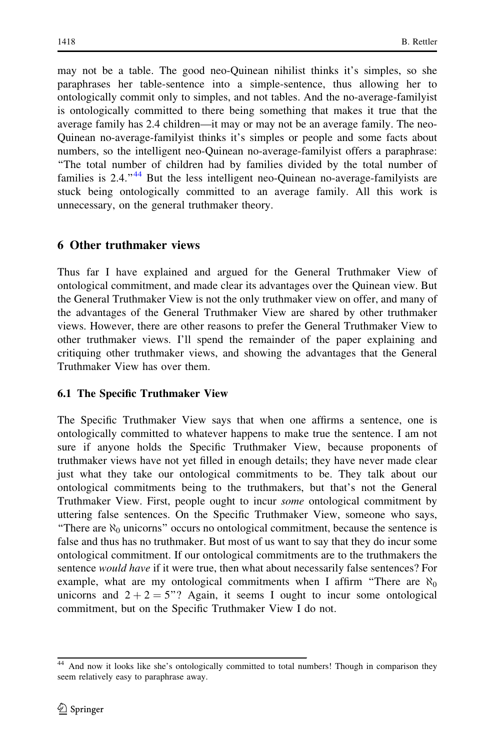may not be a table. The good neo-Quinean nihilist thinks it's simples, so she paraphrases her table-sentence into a simple-sentence, thus allowing her to ontologically commit only to simples, and not tables. And the no-average-familyist is ontologically committed to there being something that makes it true that the average family has 2.4 children—it may or may not be an average family. The neo-Quinean no-average-familyist thinks it's simples or people and some facts about numbers, so the intelligent neo-Quinean no-average-familyist offers a paraphrase: ''The total number of children had by families divided by the total number of families is  $2.4$ .<sup>44</sup> But the less intelligent neo-Quinean no-average-familyists are stuck being ontologically committed to an average family. All this work is unnecessary, on the general truthmaker theory.

# 6 Other truthmaker views

Thus far I have explained and argued for the General Truthmaker View of ontological commitment, and made clear its advantages over the Quinean view. But the General Truthmaker View is not the only truthmaker view on offer, and many of the advantages of the General Truthmaker View are shared by other truthmaker views. However, there are other reasons to prefer the General Truthmaker View to other truthmaker views. I'll spend the remainder of the paper explaining and critiquing other truthmaker views, and showing the advantages that the General Truthmaker View has over them.

### 6.1 The Specific Truthmaker View

The Specific Truthmaker View says that when one affirms a sentence, one is ontologically committed to whatever happens to make true the sentence. I am not sure if anyone holds the Specific Truthmaker View, because proponents of truthmaker views have not yet filled in enough details; they have never made clear just what they take our ontological commitments to be. They talk about our ontological commitments being to the truthmakers, but that's not the General Truthmaker View. First, people ought to incur some ontological commitment by uttering false sentences. On the Specific Truthmaker View, someone who says, "There are  $\aleph_0$  unicorns" occurs no ontological commitment, because the sentence is false and thus has no truthmaker. But most of us want to say that they do incur some ontological commitment. If our ontological commitments are to the truthmakers the sentence *would have* if it were true, then what about necessarily false sentences? For example, what are my ontological commitments when I affirm "There are  $\aleph_0$ unicorns and  $2 + 2 = 5$ "? Again, it seems I ought to incur some ontological commitment, but on the Specific Truthmaker View I do not.

<sup>&</sup>lt;sup>44</sup> And now it looks like she's ontologically committed to total numbers! Though in comparison they seem relatively easy to paraphrase away.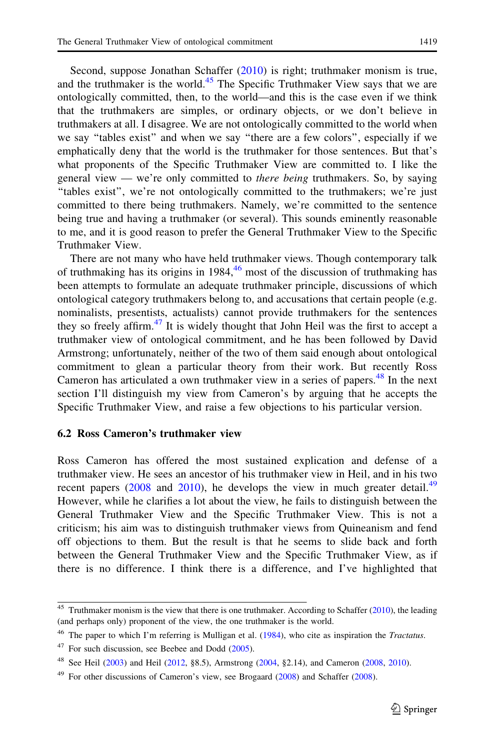Second, suppose Jonathan Schaffer ([2010\)](#page-20-0) is right; truthmaker monism is true, and the truthmaker is the world.<sup>45</sup> The Specific Truthmaker View says that we are ontologically committed, then, to the world—and this is the case even if we think that the truthmakers are simples, or ordinary objects, or we don't believe in truthmakers at all. I disagree. We are not ontologically committed to the world when we say ''tables exist'' and when we say ''there are a few colors'', especially if we emphatically deny that the world is the truthmaker for those sentences. But that's what proponents of the Specific Truthmaker View are committed to. I like the general view — we're only committed to there being truthmakers. So, by saying "tables exist", we're not ontologically committed to the truthmakers; we're just committed to there being truthmakers. Namely, we're committed to the sentence being true and having a truthmaker (or several). This sounds eminently reasonable to me, and it is good reason to prefer the General Truthmaker View to the Specific Truthmaker View.

There are not many who have held truthmaker views. Though contemporary talk of truthmaking has its origins in  $1984<sup>46</sup>$  most of the discussion of truthmaking has been attempts to formulate an adequate truthmaker principle, discussions of which ontological category truthmakers belong to, and accusations that certain people (e.g. nominalists, presentists, actualists) cannot provide truthmakers for the sentences they so freely affirm. $47$  It is widely thought that John Heil was the first to accept a truthmaker view of ontological commitment, and he has been followed by David Armstrong; unfortunately, neither of the two of them said enough about ontological commitment to glean a particular theory from their work. But recently Ross Cameron has articulated a own truthmaker view in a series of papers.<sup>48</sup> In the next section I'll distinguish my view from Cameron's by arguing that he accepts the Specific Truthmaker View, and raise a few objections to his particular version.

#### 6.2 Ross Cameron's truthmaker view

Ross Cameron has offered the most sustained explication and defense of a truthmaker view. He sees an ancestor of his truthmaker view in Heil, and in his two recent papers [\(2008](#page-19-0) and [2010](#page-19-0)), he develops the view in much greater detail.<sup>49</sup> However, while he clarifies a lot about the view, he fails to distinguish between the General Truthmaker View and the Specific Truthmaker View. This is not a criticism; his aim was to distinguish truthmaker views from Quineanism and fend off objections to them. But the result is that he seems to slide back and forth between the General Truthmaker View and the Specific Truthmaker View, as if there is no difference. I think there is a difference, and I've highlighted that

 $45$  Truthmaker monism is the view that there is one truthmaker. According to Schaffer ([2010\)](#page-20-0), the leading (and perhaps only) proponent of the view, the one truthmaker is the world.

 $46$  The paper to which I'm referring is Mulligan et al. [\(1984](#page-19-0)), who cite as inspiration the *Tractatus*.

 $47$  For such discussion, see Beebee and Dodd ([2005\)](#page-19-0).

<sup>48</sup> See Heil [\(2003](#page-19-0)) and Heil ([2012](#page-19-0), §8.5), Armstrong [\(2004,](#page-19-0) §2.14), and Cameron [\(2008](#page-19-0), [2010\)](#page-19-0).

<sup>&</sup>lt;sup>49</sup> For other discussions of Cameron's view, see Brogaard [\(2008](#page-19-0)) and Schaffer ([2008\)](#page-20-0).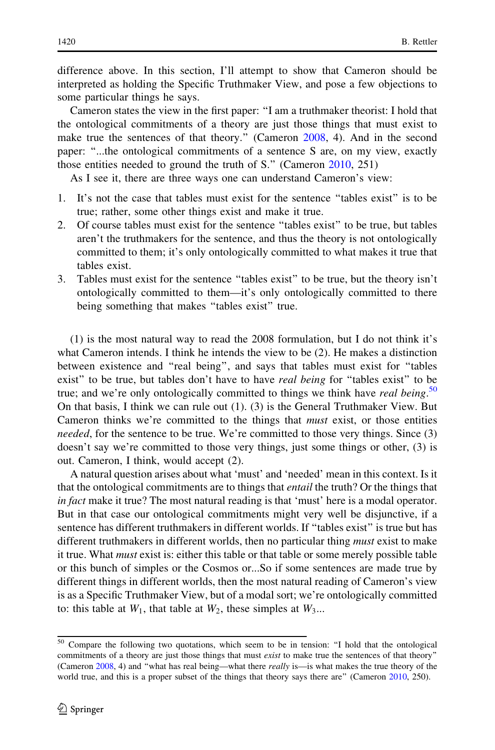difference above. In this section, I'll attempt to show that Cameron should be interpreted as holding the Specific Truthmaker View, and pose a few objections to some particular things he says.

Cameron states the view in the first paper: ''I am a truthmaker theorist: I hold that the ontological commitments of a theory are just those things that must exist to make true the sentences of that theory." (Cameron [2008](#page-19-0), 4). And in the second paper: ''...the ontological commitments of a sentence S are, on my view, exactly those entities needed to ground the truth of S.'' (Cameron [2010,](#page-19-0) 251)

As I see it, there are three ways one can understand Cameron's view:

- 1. It's not the case that tables must exist for the sentence ''tables exist'' is to be true; rather, some other things exist and make it true.
- 2. Of course tables must exist for the sentence ''tables exist'' to be true, but tables aren't the truthmakers for the sentence, and thus the theory is not ontologically committed to them; it's only ontologically committed to what makes it true that tables exist.
- 3. Tables must exist for the sentence ''tables exist'' to be true, but the theory isn't ontologically committed to them—it's only ontologically committed to there being something that makes "tables exist" true.

(1) is the most natural way to read the 2008 formulation, but I do not think it's what Cameron intends. I think he intends the view to be (2). He makes a distinction between existence and ''real being'', and says that tables must exist for ''tables exist" to be true, but tables don't have to have *real being* for "tables exist" to be true; and we're only ontologically committed to things we think have *real being*.<sup>50</sup> On that basis, I think we can rule out (1). (3) is the General Truthmaker View. But Cameron thinks we're committed to the things that must exist, or those entities needed, for the sentence to be true. We're committed to those very things. Since (3) doesn't say we're committed to those very things, just some things or other, (3) is out. Cameron, I think, would accept (2).

A natural question arises about what 'must' and 'needed' mean in this context. Is it that the ontological commitments are to things that *entail* the truth? Or the things that in fact make it true? The most natural reading is that 'must' here is a modal operator. But in that case our ontological commitments might very well be disjunctive, if a sentence has different truthmakers in different worlds. If ''tables exist'' is true but has different truthmakers in different worlds, then no particular thing *must* exist to make it true. What *must* exist is: either this table or that table or some merely possible table or this bunch of simples or the Cosmos or...So if some sentences are made true by different things in different worlds, then the most natural reading of Cameron's view is as a Specific Truthmaker View, but of a modal sort; we're ontologically committed to: this table at  $W_1$ , that table at  $W_2$ , these simples at  $W_3...$ 

<sup>&</sup>lt;sup>50</sup> Compare the following two quotations, which seem to be in tension: "I hold that the ontological commitments of a theory are just those things that must exist to make true the sentences of that theory" (Cameron [2008](#page-19-0), 4) and "what has real being—what there *really* is—is what makes the true theory of the world true, and this is a proper subset of the things that theory says there are" (Cameron [2010](#page-19-0), 250).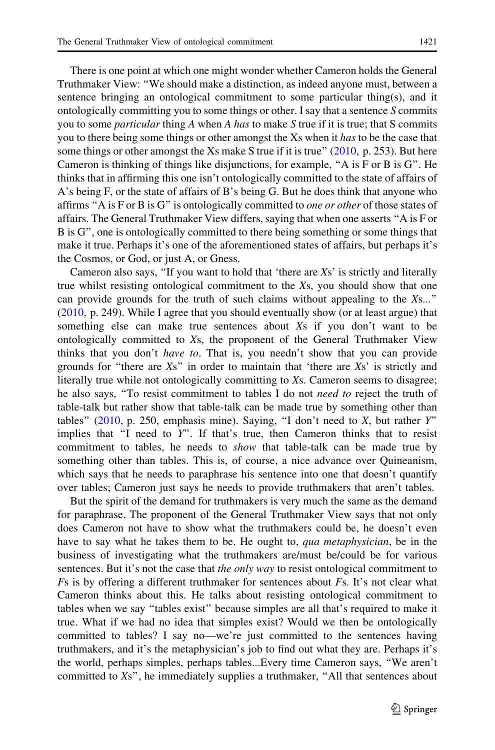There is one point at which one might wonder whether Cameron holds the General Truthmaker View: ''We should make a distinction, as indeed anyone must, between a sentence bringing an ontological commitment to some particular thing(s), and it ontologically committing you to some things or other. I say that a sentence S commits you to some *particular* thing A when A has to make S true if it is true; that S commits you to there being some things or other amongst the Xs when it has to be the case that some things or other amongst the Xs make S true if it is true"  $(2010, p. 253)$  $(2010, p. 253)$  $(2010, p. 253)$ . But here Cameron is thinking of things like disjunctions, for example, "A is  $F$  or  $B$  is  $G$ ". He thinks that in affirming this one isn't ontologically committed to the state of affairs of A's being F, or the state of affairs of B's being G. But he does think that anyone who affirms "A is F or B is G" is ontologically committed to *one or other* of those states of affairs. The General Truthmaker View differs, saying that when one asserts ''A is F or B is G'', one is ontologically committed to there being something or some things that make it true. Perhaps it's one of the aforementioned states of affairs, but perhaps it's the Cosmos, or God, or just A, or Gness.

Cameron also says, ''If you want to hold that 'there are Xs' is strictly and literally true whilst resisting ontological commitment to the Xs, you should show that one can provide grounds for the truth of such claims without appealing to the Xs...'' [\(2010](#page-19-0), p. 249). While I agree that you should eventually show (or at least argue) that something else can make true sentences about Xs if you don't want to be ontologically committed to Xs, the proponent of the General Truthmaker View thinks that you don't *have to*. That is, you needn't show that you can provide grounds for ''there are Xs'' in order to maintain that 'there are Xs' is strictly and literally true while not ontologically committing to Xs. Cameron seems to disagree; he also says, "To resist commitment to tables I do not *need to* reject the truth of table-talk but rather show that table-talk can be made true by something other than tables" ([2010,](#page-19-0) p. 250, emphasis mine). Saying, "I don't need to  $X$ , but rather  $Y$ " implies that "I need to Y". If that's true, then Cameron thinks that to resist commitment to tables, he needs to *show* that table-talk can be made true by something other than tables. This is, of course, a nice advance over Quineanism, which says that he needs to paraphrase his sentence into one that doesn't quantify over tables; Cameron just says he needs to provide truthmakers that aren't tables.

But the spirit of the demand for truthmakers is very much the same as the demand for paraphrase. The proponent of the General Truthmaker View says that not only does Cameron not have to show what the truthmakers could be, he doesn't even have to say what he takes them to be. He ought to, *qua metaphysician*, be in the business of investigating what the truthmakers are/must be/could be for various sentences. But it's not the case that *the only way* to resist ontological commitment to  $Fs$  is by offering a different truthmaker for sentences about  $Fs$ . It's not clear what Cameron thinks about this. He talks about resisting ontological commitment to tables when we say ''tables exist'' because simples are all that's required to make it true. What if we had no idea that simples exist? Would we then be ontologically committed to tables? I say no—we're just committed to the sentences having truthmakers, and it's the metaphysician's job to find out what they are. Perhaps it's the world, perhaps simples, perhaps tables...Every time Cameron says, ''We aren't committed to Xs'', he immediately supplies a truthmaker, ''All that sentences about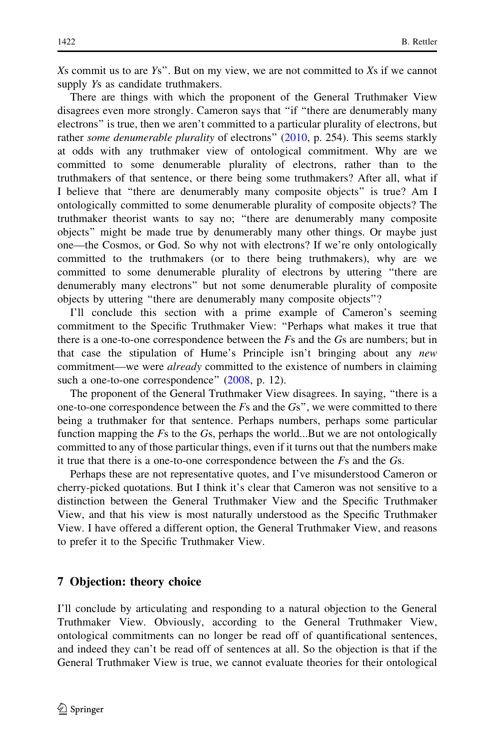Xs commit us to are Ys''. But on my view, we are not committed to Xs if we cannot supply Ys as candidate truthmakers.

There are things with which the proponent of the General Truthmaker View disagrees even more strongly. Cameron says that ''if ''there are denumerably many electrons'' is true, then we aren't committed to a particular plurality of electrons, but rather some denumerable plurality of electrons" ([2010,](#page-19-0) p. 254). This seems starkly at odds with any truthmaker view of ontological commitment. Why are we committed to some denumerable plurality of electrons, rather than to the truthmakers of that sentence, or there being some truthmakers? After all, what if I believe that ''there are denumerably many composite objects'' is true? Am I ontologically committed to some denumerable plurality of composite objects? The truthmaker theorist wants to say no; ''there are denumerably many composite objects'' might be made true by denumerably many other things. Or maybe just one—the Cosmos, or God. So why not with electrons? If we're only ontologically committed to the truthmakers (or to there being truthmakers), why are we committed to some denumerable plurality of electrons by uttering ''there are denumerably many electrons'' but not some denumerable plurality of composite objects by uttering ''there are denumerably many composite objects''?

I'll conclude this section with a prime example of Cameron's seeming commitment to the Specific Truthmaker View: ''Perhaps what makes it true that there is a one-to-one correspondence between the Fs and the Gs are numbers; but in that case the stipulation of Hume's Principle isn't bringing about any new commitment—we were *already* committed to the existence of numbers in claiming such a one-to-one correspondence" [\(2008](#page-19-0), p. 12).

The proponent of the General Truthmaker View disagrees. In saying, ''there is a one-to-one correspondence between the  $Fs$  and the  $Gs$ ", we were committed to there being a truthmaker for that sentence. Perhaps numbers, perhaps some particular function mapping the Fs to the Gs, perhaps the world...But we are not ontologically committed to any of those particular things, even if it turns out that the numbers make it true that there is a one-to-one correspondence between the Fs and the Gs.

Perhaps these are not representative quotes, and I've misunderstood Cameron or cherry-picked quotations. But I think it's clear that Cameron was not sensitive to a distinction between the General Truthmaker View and the Specific Truthmaker View, and that his view is most naturally understood as the Specific Truthmaker View. I have offered a different option, the General Truthmaker View, and reasons to prefer it to the Specific Truthmaker View.

#### 7 Objection: theory choice

I'll conclude by articulating and responding to a natural objection to the General Truthmaker View. Obviously, according to the General Truthmaker View, ontological commitments can no longer be read off of quantificational sentences, and indeed they can't be read off of sentences at all. So the objection is that if the General Truthmaker View is true, we cannot evaluate theories for their ontological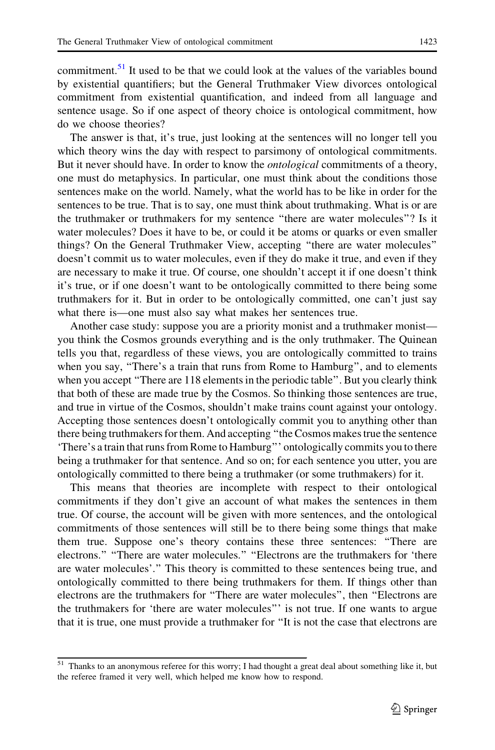commitment.<sup>51</sup> It used to be that we could look at the values of the variables bound by existential quantifiers; but the General Truthmaker View divorces ontological commitment from existential quantification, and indeed from all language and sentence usage. So if one aspect of theory choice is ontological commitment, how do we choose theories?

The answer is that, it's true, just looking at the sentences will no longer tell you which theory wins the day with respect to parsimony of ontological commitments. But it never should have. In order to know the *ontological* commitments of a theory, one must do metaphysics. In particular, one must think about the conditions those sentences make on the world. Namely, what the world has to be like in order for the sentences to be true. That is to say, one must think about truthmaking. What is or are the truthmaker or truthmakers for my sentence ''there are water molecules''? Is it water molecules? Does it have to be, or could it be atoms or quarks or even smaller things? On the General Truthmaker View, accepting ''there are water molecules'' doesn't commit us to water molecules, even if they do make it true, and even if they are necessary to make it true. Of course, one shouldn't accept it if one doesn't think it's true, or if one doesn't want to be ontologically committed to there being some truthmakers for it. But in order to be ontologically committed, one can't just say what there is—one must also say what makes her sentences true.

Another case study: suppose you are a priority monist and a truthmaker monist you think the Cosmos grounds everything and is the only truthmaker. The Quinean tells you that, regardless of these views, you are ontologically committed to trains when you say, "There's a train that runs from Rome to Hamburg", and to elements when you accept ''There are 118 elements in the periodic table''. But you clearly think that both of these are made true by the Cosmos. So thinking those sentences are true, and true in virtue of the Cosmos, shouldn't make trains count against your ontology. Accepting those sentences doesn't ontologically commit you to anything other than there being truthmakers for them. And accepting ''the Cosmos makes true the sentence 'There's a train that runs from Rome to Hamburg''' ontologically commits you to there being a truthmaker for that sentence. And so on; for each sentence you utter, you are ontologically committed to there being a truthmaker (or some truthmakers) for it.

This means that theories are incomplete with respect to their ontological commitments if they don't give an account of what makes the sentences in them true. Of course, the account will be given with more sentences, and the ontological commitments of those sentences will still be to there being some things that make them true. Suppose one's theory contains these three sentences: ''There are electrons.'' ''There are water molecules.'' ''Electrons are the truthmakers for 'there are water molecules'.'' This theory is committed to these sentences being true, and ontologically committed to there being truthmakers for them. If things other than electrons are the truthmakers for ''There are water molecules'', then ''Electrons are the truthmakers for 'there are water molecules''' is not true. If one wants to argue that it is true, one must provide a truthmaker for ''It is not the case that electrons are

<sup>&</sup>lt;sup>51</sup> Thanks to an anonymous referee for this worry; I had thought a great deal about something like it, but the referee framed it very well, which helped me know how to respond.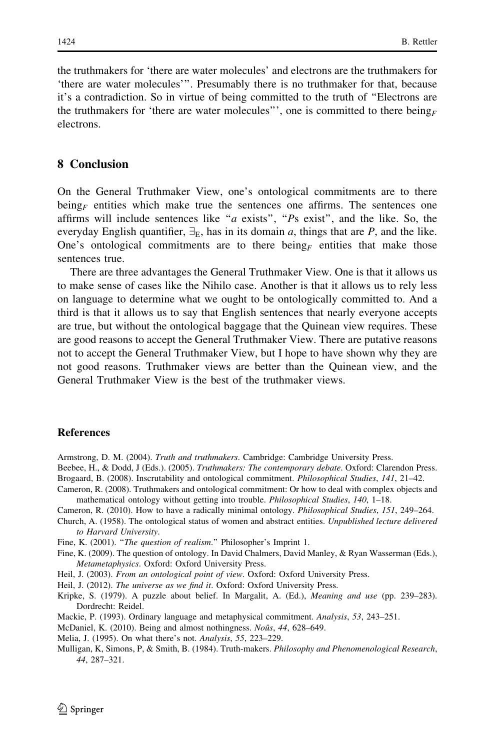<span id="page-19-0"></span>the truthmakers for 'there are water molecules' and electrons are the truthmakers for 'there are water molecules'''. Presumably there is no truthmaker for that, because it's a contradiction. So in virtue of being committed to the truth of ''Electrons are the truthmakers for 'there are water molecules''', one is committed to there being electrons.

## 8 Conclusion

On the General Truthmaker View, one's ontological commitments are to there being<sub>F</sub> entities which make true the sentences one affirms. The sentences one affirms will include sentences like " $a$  exists", "Ps exist", and the like. So, the everyday English quantifier,  $\exists_F$ , has in its domain a, things that are P, and the like. One's ontological commitments are to there being<sub>F</sub> entities that make those sentences true.

There are three advantages the General Truthmaker View. One is that it allows us to make sense of cases like the Nihilo case. Another is that it allows us to rely less on language to determine what we ought to be ontologically committed to. And a third is that it allows us to say that English sentences that nearly everyone accepts are true, but without the ontological baggage that the Quinean view requires. These are good reasons to accept the General Truthmaker View. There are putative reasons not to accept the General Truthmaker View, but I hope to have shown why they are not good reasons. Truthmaker views are better than the Quinean view, and the General Truthmaker View is the best of the truthmaker views.

#### References

Armstrong, D. M. (2004). Truth and truthmakers. Cambridge: Cambridge University Press.

- Beebee, H., & Dodd, J (Eds.). (2005). Truthmakers: The contemporary debate. Oxford: Clarendon Press. Brogaard, B. (2008). Inscrutability and ontological commitment. Philosophical Studies, 141, 21–42.
- Cameron, R. (2008). Truthmakers and ontological commitment: Or how to deal with complex objects and mathematical ontology without getting into trouble. Philosophical Studies, 140, 1–18.
- Cameron, R. (2010). How to have a radically minimal ontology. Philosophical Studies, 151, 249–264.
- Church, A. (1958). The ontological status of women and abstract entities. Unpublished lecture delivered to Harvard University.
- Fine, K. (2001). "The question of realism." Philosopher's Imprint 1.
- Fine, K. (2009). The question of ontology. In David Chalmers, David Manley, & Ryan Wasserman (Eds.), Metametaphysics. Oxford: Oxford University Press.
- Heil, J. (2003). From an ontological point of view. Oxford: Oxford University Press.
- Heil, J. (2012). The universe as we find it. Oxford: Oxford University Press.
- Kripke, S. (1979). A puzzle about belief. In Margalit, A. (Ed.), Meaning and use (pp. 239–283). Dordrecht: Reidel.
- Mackie, P. (1993). Ordinary language and metaphysical commitment. Analysis, 53, 243–251.
- McDaniel, K. (2010). Being and almost nothingness. Noûs, 44, 628–649.
- Melia, J. (1995). On what there's not. Analysis, 55, 223–229.
- Mulligan, K, Simons, P, & Smith, B. (1984). Truth-makers. Philosophy and Phenomenological Research, 44, 287–321.